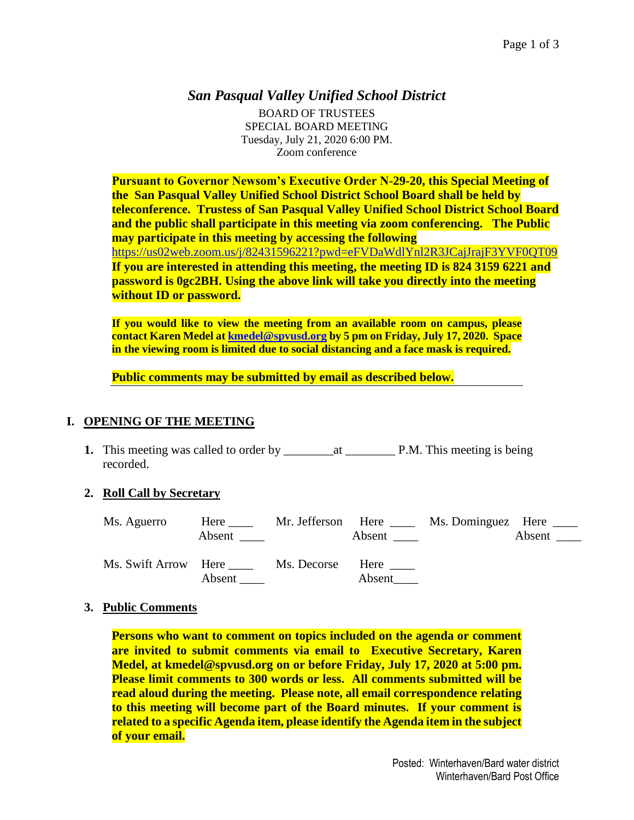# *San Pasqual Valley Unified School District*

BOARD OF TRUSTEES SPECIAL BOARD MEETING Tuesday, July 21, 2020 6:00 PM. Zoom conference

**Pursuant to Governor Newsom's Executive Order N-29-20, this Special Meeting of the San Pasqual Valley Unified School District School Board shall be held by teleconference. Trustess of San Pasqual Valley Unified School District School Board and the public shall participate in this meeting via zoom conferencing. The Public may participate in this meeting by accessing the following**  <https://us02web.zoom.us/j/82431596221?pwd=eFVDaWdlYnl2R3JCajJrajF3YVF0QT09> **If you are interested in attending this meeting, the meeting ID is 824 3159 6221 and password is 0gc2BH. Using the above link will take you directly into the meeting without ID or password.** 

**If you would like to view the meeting from an available room on campus, please contact Karen Medel at [kmedel@spvusd.org](mailto:kmedel@spvusd.org) by 5 pm on Friday, July 17, 2020. Space in the viewing room is limited due to social distancing and a face mask is required.** 

**Public comments may be submitted by email as described below.** 

### **I. OPENING OF THE MEETING**

**1.** This meeting was called to order by \_\_\_\_\_\_\_\_at \_\_\_\_\_\_\_\_ P.M. This meeting is being recorded.

### **2. Roll Call by Secretary**

| Ms. Aguerro          | Here $\_\_$<br>Absent | Mr. Jefferson Here | Absent $\rule{1em}{0.15mm}$ | Ms. Dominguez Here _____ | Absent |
|----------------------|-----------------------|--------------------|-----------------------------|--------------------------|--------|
| Ms. Swift Arrow Here | Absent                | Ms. Decorse        | Here<br>Absent              |                          |        |

### **3. Public Comments**

**Persons who want to comment on topics included on the agenda or comment are invited to submit comments via email to Executive Secretary, Karen Medel, at kmedel@spvusd.org on or before Friday, July 17, 2020 at 5:00 pm. Please limit comments to 300 words or less. All comments submitted will be read aloud during the meeting. Please note, all email correspondence relating to this meeting will become part of the Board minutes. If your comment is related to a specific Agenda item, please identify the Agenda item in the subject of your email.**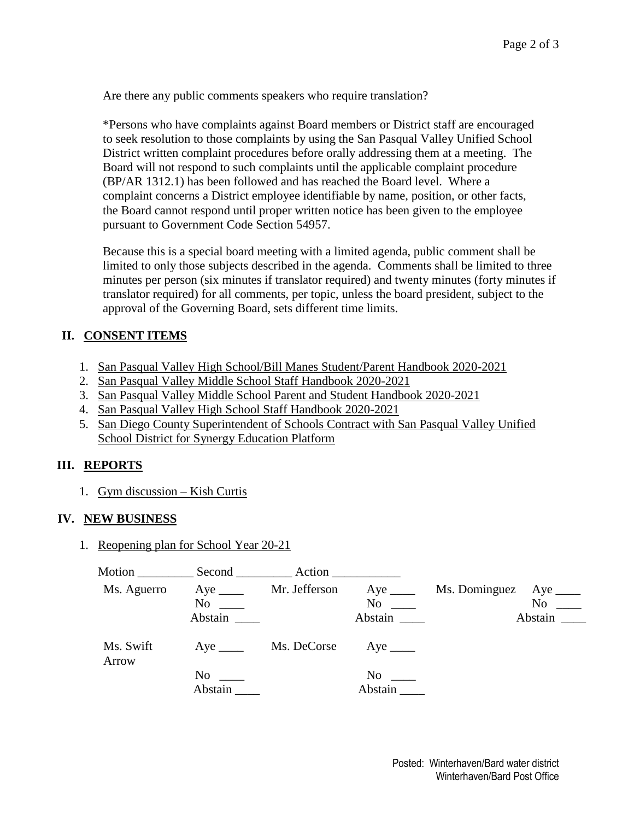Are there any public comments speakers who require translation?

\*Persons who have complaints against Board members or District staff are encouraged to seek resolution to those complaints by using the San Pasqual Valley Unified School District written complaint procedures before orally addressing them at a meeting. The Board will not respond to such complaints until the applicable complaint procedure (BP/AR 1312.1) has been followed and has reached the Board level. Where a complaint concerns a District employee identifiable by name, position, or other facts, the Board cannot respond until proper written notice has been given to the employee pursuant to Government Code Section 54957.

Because this is a special board meeting with a limited agenda, public comment shall be limited to only those subjects described in the agenda. Comments shall be limited to three minutes per person (six minutes if translator required) and twenty minutes (forty minutes if translator required) for all comments, per topic, unless the board president, subject to the approval of the Governing Board, sets different time limits.

## **II. CONSENT ITEMS**

- 1. San Pasqual Valley High School/Bill Manes Student/Parent Handbook 2020-2021
- 2. San Pasqual Valley Middle School Staff Handbook 2020-2021
- 3. San Pasqual Valley Middle School Parent and Student Handbook 2020-2021
- 4. San Pasqual Valley High School Staff Handbook 2020-2021
- 5. San Diego County Superintendent of Schools Contract with San Pasqual Valley Unified School District for Synergy Education Platform

## **III. REPORTS**

1. Gym discussion – Kish Curtis

### **IV. NEW BUSINESS**

1. Reopening plan for School Year 20-21

| Motion             |                       | Action        |                       |               |                |
|--------------------|-----------------------|---------------|-----------------------|---------------|----------------|
| Ms. Aguerro        | $Aye$ <sub>____</sub> | Mr. Jefferson | $Aye$ <sub>____</sub> | Ms. Dominguez | Aye $\_\_$     |
|                    | No                    |               | $\mathrm{No}$ $\_\_$  |               | N <sub>0</sub> |
|                    | Abstain               |               | Abstain               |               | Abstain        |
| Ms. Swift<br>Arrow |                       | Ms. DeCorse   |                       |               |                |
|                    | $No \ \_$             |               | $No \ \_$             |               |                |
|                    | Abstain               |               | Abstain               |               |                |